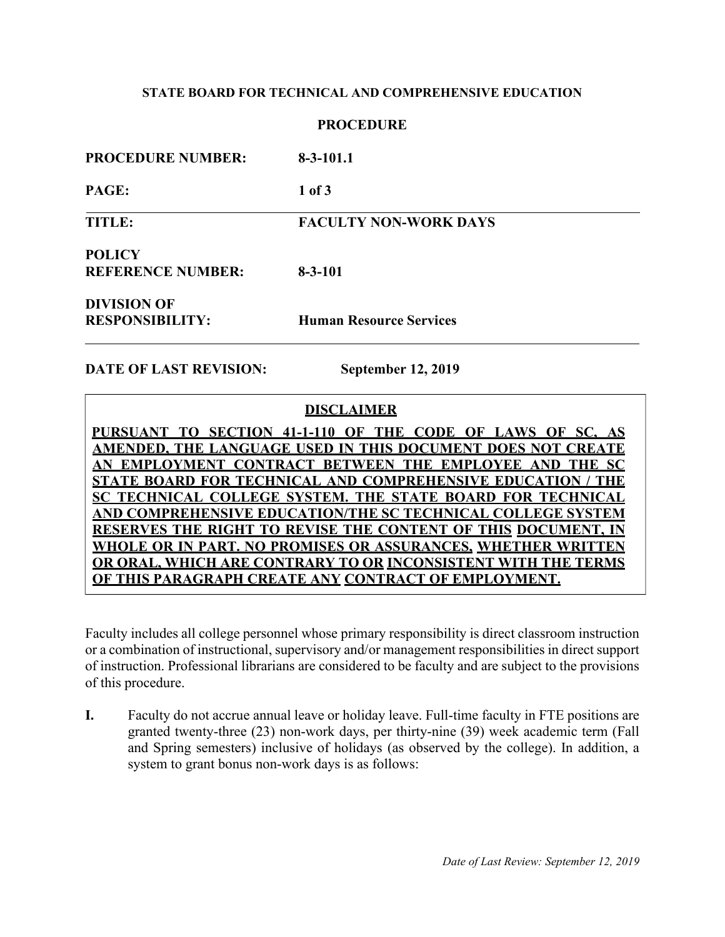## **STATE BOARD FOR TECHNICAL AND COMPREHENSIVE EDUCATION**

## **PROCEDURE**

| <b>PROCEDURE NUMBER:</b>                     | $8-3-101.1$                    |
|----------------------------------------------|--------------------------------|
| <b>PAGE:</b>                                 | 1 of 3                         |
| TITLE:                                       | <b>FACULTY NON-WORK DAYS</b>   |
| <b>POLICY</b><br><b>REFERENCE NUMBER:</b>    | $8 - 3 - 101$                  |
| <b>DIVISION OF</b><br><b>RESPONSIBILITY:</b> | <b>Human Resource Services</b> |

**DATE OF LAST REVISION: September 12, 2019**

# **DISCLAIMER**

**PURSUANT TO SECTION 41-1-110 OF THE CODE OF LAWS OF SC, AS AMENDED, THE LANGUAGE USED IN THIS DOCUMENT DOES NOT CREATE AN EMPLOYMENT CONTRACT BETWEEN THE EMPLOYEE AND THE SC STATE BOARD FOR TECHNICAL AND COMPREHENSIVE EDUCATION / THE SC TECHNICAL COLLEGE SYSTEM. THE STATE BOARD FOR TECHNICAL AND COMPREHENSIVE EDUCATION/THE SC TECHNICAL COLLEGE SYSTEM RESERVES THE RIGHT TO REVISE THE CONTENT OF THIS DOCUMENT, IN WHOLE OR IN PART. NO PROMISES OR ASSURANCES, WHETHER WRITTEN OR ORAL, WHICH ARE CONTRARY TO OR INCONSISTENT WITH THE TERMS OF THIS PARAGRAPH CREATE ANY CONTRACT OF EMPLOYMENT.**

Faculty includes all college personnel whose primary responsibility is direct classroom instruction or a combination of instructional, supervisory and/or management responsibilities in direct support of instruction. Professional librarians are considered to be faculty and are subject to the provisions of this procedure.

**I.** Faculty do not accrue annual leave or holiday leave. Full-time faculty in FTE positions are granted twenty-three (23) non-work days, per thirty-nine (39) week academic term (Fall and Spring semesters) inclusive of holidays (as observed by the college). In addition, a system to grant bonus non-work days is as follows: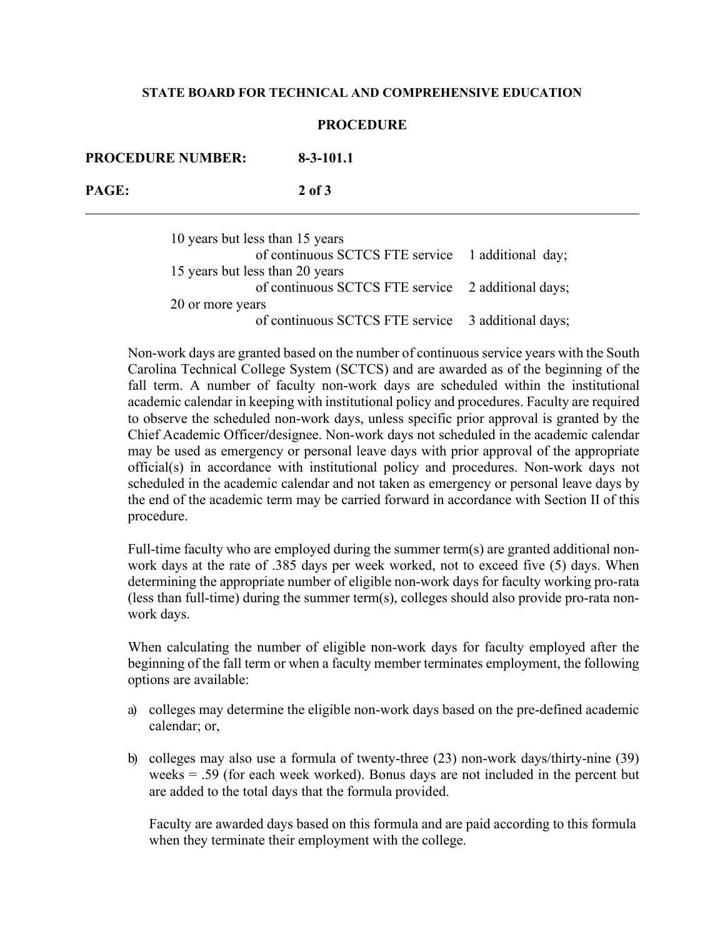#### **STATE BOARD FOR TECHNICAL AND COMPREHENSIVE EDUCATION**

#### **PROCEDURE**

**PROCEDURE NUMBER: 8-3-101.1 PAGE: 2 of 3**

> 10 years but less than 15 years of continuous SCTCS FTE service 1 additional day; 15 years but less than 20 years of continuous SCTCS FTE service 2 additional days; 20 or more years of continuous SCTCS FTE service 3 additional days;

Non-work days are granted based on the number of continuous service years with the South Carolina Technical College System (SCTCS) and are awarded as of the beginning of the fall term. A number of faculty non-work days are scheduled within the institutional academic calendar in keeping with institutional policy and procedures. Faculty are required to observe the scheduled non-work days, unless specific prior approval is granted by the Chief Academic Officer**/**designee. Non-work days not scheduled in the academic calendar may be used as emergency or personal leave days with prior approval of the appropriate official(s) in accordance with institutional policy and procedures. Non-work days not scheduled in the academic calendar and not taken as emergency or personal leave days by the end of the academic term may be carried forward in accordance with Section II of this procedure.

Full-time faculty who are employed during the summer term(s) are granted additional nonwork days at the rate of .385 days per week worked, not to exceed five (5) days. When determining the appropriate number of eligible non-work days for faculty working pro-rata (less than full-time) during the summer term(s), colleges should also provide pro-rata nonwork days.

When calculating the number of eligible non-work days for faculty employed after the beginning of the fall term or when a faculty member terminates employment, the following options are available:

- a) colleges may determine the eligible non-work days based on the pre-defined academic calendar; or,
- b) colleges may also use a formula of twenty-three (23) non-work days/thirty-nine (39) weeks = .59 (for each week worked). Bonus days are not included in the percent but are added to the total days that the formula provided.

Faculty are awarded days based on this formula and are paid according to this formula when they terminate their employment with the college.